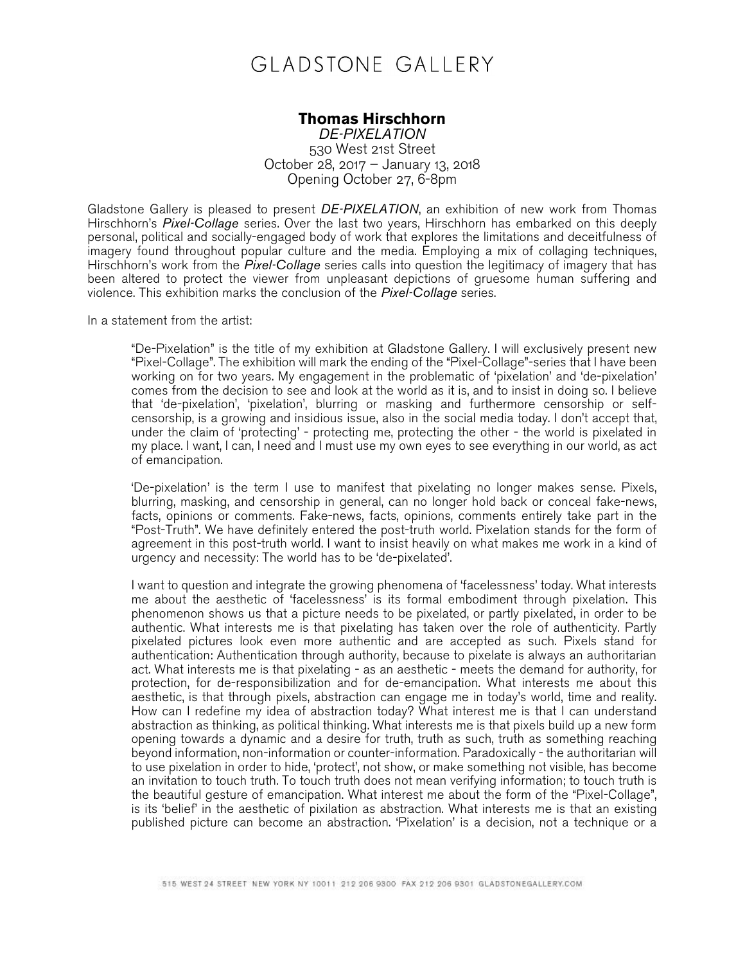## **GLADSTONE GALLERY**

## **Thomas Hirschhorn**

*DE-PIXELATION* 530 West 21st Street October 28, 2017 – January 13, 2018 Opening October 27, 6-8pm

Gladstone Gallery is pleased to present *DE-PIXELATION*, an exhibition of new work from Thomas Hirschhorn's *Pixel-Collage* series. Over the last two years, Hirschhorn has embarked on this deeply personal, political and socially-engaged body of work that explores the limitations and deceitfulness of imagery found throughout popular culture and the media. Employing a mix of collaging techniques, Hirschhorn's work from the *Pixel-Collage* series calls into question the legitimacy of imagery that has been altered to protect the viewer from unpleasant depictions of gruesome human suffering and violence. This exhibition marks the conclusion of the *Pixel-Collage* series.

In a statement from the artist:

"De-Pixelation" is the title of my exhibition at Gladstone Gallery. I will exclusively present new "Pixel-Collage". The exhibition will mark the ending of the "Pixel-Collage"-series that I have been working on for two years. My engagement in the problematic of 'pixelation' and 'de-pixelation' comes from the decision to see and look at the world as it is, and to insist in doing so. I believe that 'de-pixelation', 'pixelation', blurring or masking and furthermore censorship or selfcensorship, is a growing and insidious issue, also in the social media today. I don't accept that, under the claim of 'protecting' - protecting me, protecting the other - the world is pixelated in my place. I want, I can, I need and I must use my own eyes to see everything in our world, as act of emancipation.

'De-pixelation' is the term I use to manifest that pixelating no longer makes sense. Pixels, blurring, masking, and censorship in general, can no longer hold back or conceal fake-news, facts, opinions or comments. Fake-news, facts, opinions, comments entirely take part in the "Post-Truth". We have definitely entered the post-truth world. Pixelation stands for the form of agreement in this post-truth world. I want to insist heavily on what makes me work in a kind of urgency and necessity: The world has to be 'de-pixelated'.

I want to question and integrate the growing phenomena of 'facelessness' today. What interests me about the aesthetic of 'facelessness' is its formal embodiment through pixelation. This phenomenon shows us that a picture needs to be pixelated, or partly pixelated, in order to be authentic. What interests me is that pixelating has taken over the role of authenticity. Partly pixelated pictures look even more authentic and are accepted as such. Pixels stand for authentication: Authentication through authority, because to pixelate is always an authoritarian act. What interests me is that pixelating - as an aesthetic - meets the demand for authority, for protection, for de-responsibilization and for de-emancipation. What interests me about this aesthetic, is that through pixels, abstraction can engage me in today's world, time and reality. How can I redefine my idea of abstraction today? What interest me is that I can understand abstraction as thinking, as political thinking. What interests me is that pixels build up a new form opening towards a dynamic and a desire for truth, truth as such, truth as something reaching beyond information, non-information or counter-information. Paradoxically - the authoritarian will to use pixelation in order to hide, 'protect', not show, or make something not visible, has become an invitation to touch truth. To touch truth does not mean verifying information; to touch truth is the beautiful gesture of emancipation. What interest me about the form of the "Pixel-Collage", is its 'belief' in the aesthetic of pixilation as abstraction. What interests me is that an existing published picture can become an abstraction. 'Pixelation' is a decision, not a technique or a